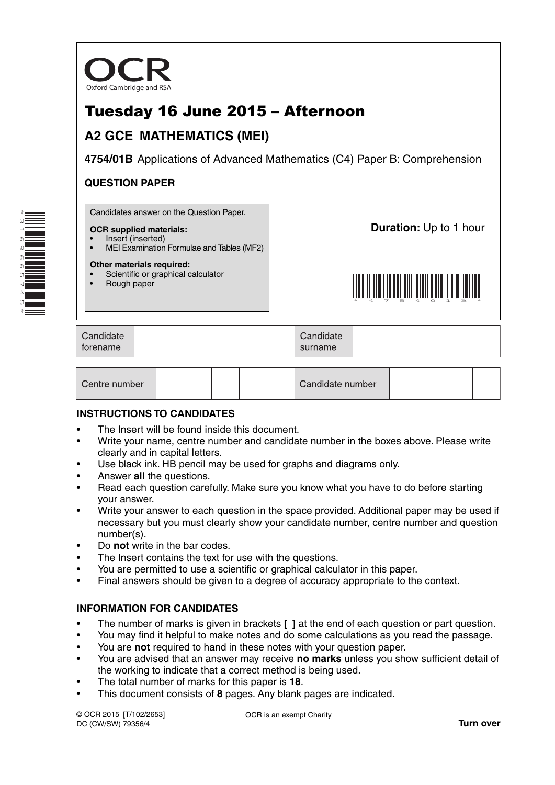

# Tuesday 16 June 2015 – Afternoon

# **A2 GCE MATHEMATICS (MEI)**

**4754/01B** Applications of Advanced Mathematics (C4) Paper B: Comprehension

# **QUESTION PAPER**

Candidates answer on the Question Paper.

### **OCR supplied materials:**

• Insert (inserted) • MEI Examination Formulae and Tables (MF2)

#### **Other materials required:**

- Scientific or graphical calculator
- Rough paper

**Duration:** Up to 1 hour



| Candidate | Candidate |  |
|-----------|-----------|--|
| forename  | surname   |  |

| Centre number |  |  |  |  |  | Candidate number |  |  |  |  |  |
|---------------|--|--|--|--|--|------------------|--|--|--|--|--|
|---------------|--|--|--|--|--|------------------|--|--|--|--|--|

# **INSTRUCTIONS TO CANDIDATES**

- The Insert will be found inside this document.
- Write your name, centre number and candidate number in the boxes above. Please write clearly and in capital letters.
- Use black ink. HB pencil may be used for graphs and diagrams only.
- Answer **all** the questions.
- Read each question carefully. Make sure you know what you have to do before starting your answer.
- Write your answer to each question in the space provided. Additional paper may be used if necessary but you must clearly show your candidate number, centre number and question number(s).
- Do **not** write in the bar codes.
- The Insert contains the text for use with the questions.
- You are permitted to use a scientific or graphical calculator in this paper.
- Final answers should be given to a degree of accuracy appropriate to the context.

# **INFORMATION FOR CANDIDATES**

- The number of marks is given in brackets **[ ]** at the end of each question or part question.
- You may find it helpful to make notes and do some calculations as you read the passage.
- You are **not** required to hand in these notes with your question paper.
- You are advised that an answer may receive **no marks** unless you show sufficient detail of the working to indicate that a correct method is being used.
- The total number of marks for this paper is **18**.
- This document consists of **8** pages. Any blank pages are indicated.

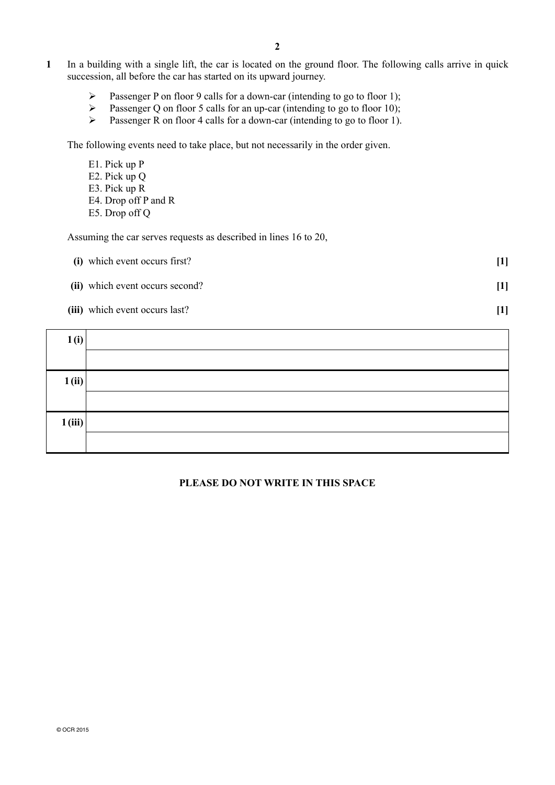- **1** In a building with a single lift, the car is located on the ground floor. The following calls arrive in quick succession, all before the car has started on its upward journey.
	- Passenger P on floor 9 calls for a down-car (intending to go to floor 1);
	- Passenger Q on floor 5 calls for an up-car (intending to go to floor 10);
	- Passenger R on floor 4 calls for a down-car (intending to go to floor 1).

The following events need to take place, but not necessarily in the order given.

- E1. Pick up P
- E2. Pick up Q
- E3. Pick up R
- E4. Drop off P and R
- E5. Drop off Q

Assuming the car serves requests as described in lines 16 to 20,

- **(i)** which event occurs first? **[1]**
- **(ii)** which event occurs second? **[1]**
- **(iii)** which event occurs last? **[1]**

| 1(i)   |  |
|--------|--|
|        |  |
| 1(i)   |  |
|        |  |
| 1(iii) |  |
|        |  |

# **PLEASE DO NOT WRITE IN THIS SPACE**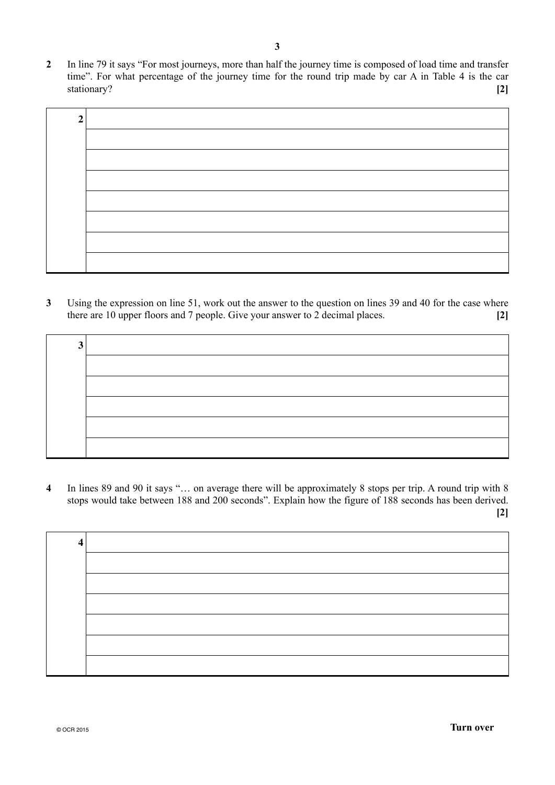**2** In line 79 it says "For most journeys, more than half the journey time is composed of load time and transfer time". For what percentage of the journey time for the round trip made by car A in Table 4 is the car stationary? **[2]**

| ◠ |  |
|---|--|
|   |  |
|   |  |
|   |  |
|   |  |
|   |  |
|   |  |
|   |  |
|   |  |

**3** Using the expression on line 51, work out the answer to the question on lines 39 and 40 for the case where there are 10 upper floors and 7 people. Give your answer to 2 decimal places. **[2]**

| ◠ |  |
|---|--|
|   |  |
|   |  |
|   |  |
|   |  |
|   |  |

**4** In lines 89 and 90 it says "… on average there will be approximately 8 stops per trip. A round trip with 8 stops would take between 188 and 200 seconds". Explain how the figure of 188 seconds has been derived. **[2]**

| 4 |  |
|---|--|
|   |  |
|   |  |
|   |  |
|   |  |
|   |  |
|   |  |
|   |  |
|   |  |
|   |  |
|   |  |
|   |  |
|   |  |
|   |  |
|   |  |
|   |  |
|   |  |
|   |  |
|   |  |
|   |  |
|   |  |
|   |  |
|   |  |
|   |  |
|   |  |
|   |  |
|   |  |
|   |  |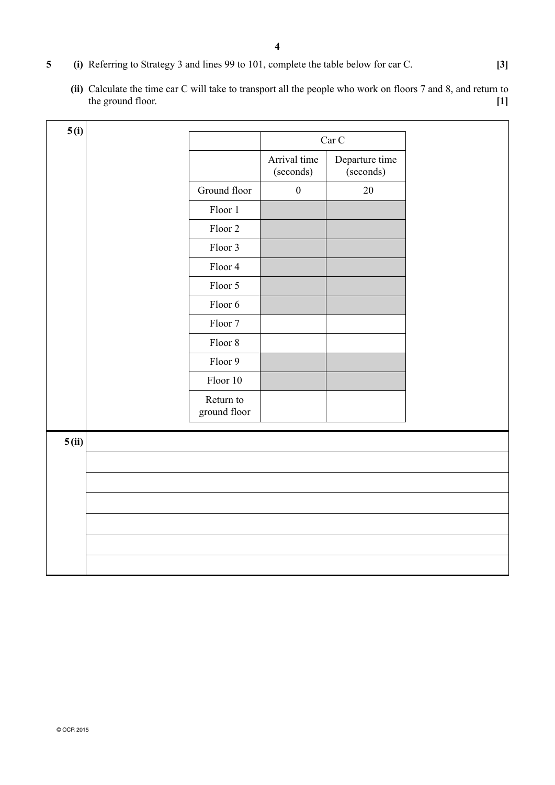- **5 (i)** Referring to Strategy 3 and lines 99 to 101, complete the table below for car C. **[3]**
	- **(ii)** Calculate the time car C will take to transport all the people who work on floors 7 and 8, and return to the ground floor. **[1] [1]**

| 5(i)  |                           |                           |                             |  |
|-------|---------------------------|---------------------------|-----------------------------|--|
|       |                           |                           | $\rm{Car}$ $\rm{C}$         |  |
|       |                           | Arrival time<br>(seconds) | Departure time<br>(seconds) |  |
|       | Ground floor              | $\boldsymbol{0}$          | $20\,$                      |  |
|       | Floor 1                   |                           |                             |  |
|       | Floor 2                   |                           |                             |  |
|       | Floor 3                   |                           |                             |  |
|       | Floor 4                   |                           |                             |  |
|       | Floor 5                   |                           |                             |  |
|       | Floor 6                   |                           |                             |  |
|       | Floor 7                   |                           |                             |  |
|       | Floor $8\,$               |                           |                             |  |
|       | Floor 9                   |                           |                             |  |
|       | Floor 10                  |                           |                             |  |
|       | Return to<br>ground floor |                           |                             |  |
| 5(ii) |                           |                           |                             |  |
|       |                           |                           |                             |  |
|       |                           |                           |                             |  |
|       |                           |                           |                             |  |
|       |                           |                           |                             |  |
|       |                           |                           |                             |  |
|       |                           |                           |                             |  |
|       |                           |                           |                             |  |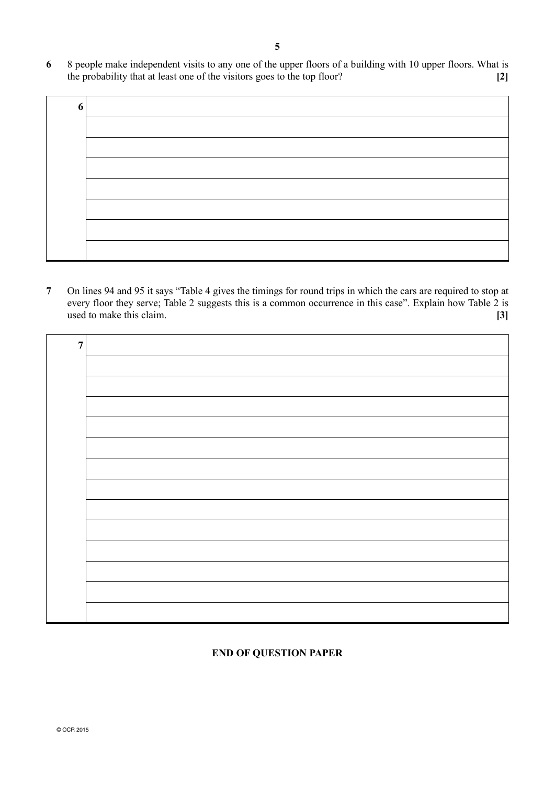**6** 8 people make independent visits to any one of the upper floors of a building with 10 upper floors. What is the probability that at least one of the visitors goes to the top floor? **[2]**

| 6 |  |
|---|--|
|   |  |
|   |  |
|   |  |
|   |  |
|   |  |
|   |  |
|   |  |

**7** On lines 94 and 95 it says "Table 4 gives the timings for round trips in which the cars are required to stop at every floor they serve; Table 2 suggests this is a common occurrence in this case". Explain how Table 2 is used to make this claim. **[3]**

| $\overline{7}$ |  |
|----------------|--|
|                |  |
|                |  |
|                |  |
|                |  |
|                |  |
|                |  |
|                |  |
|                |  |
|                |  |
|                |  |
|                |  |
|                |  |
|                |  |

# **END OF QUESTION PAPER**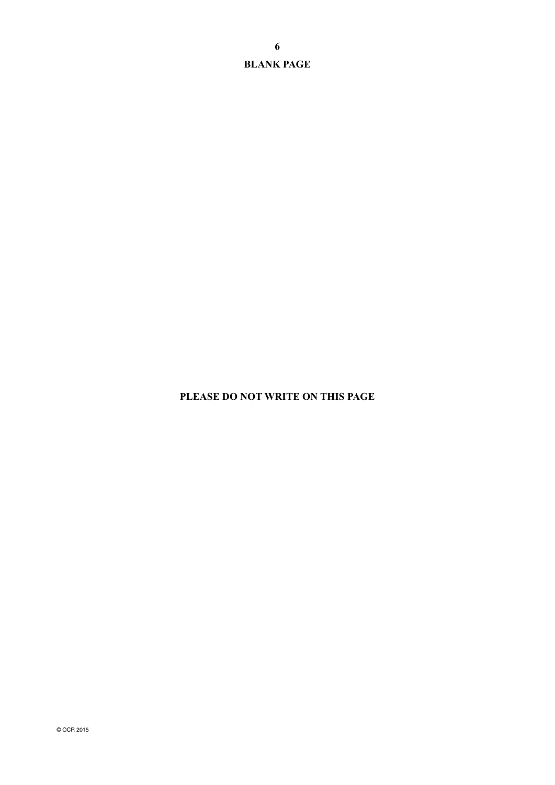**BLANK PAGE**

**PLEASE DO NOT WRITE ON THIS PAGE**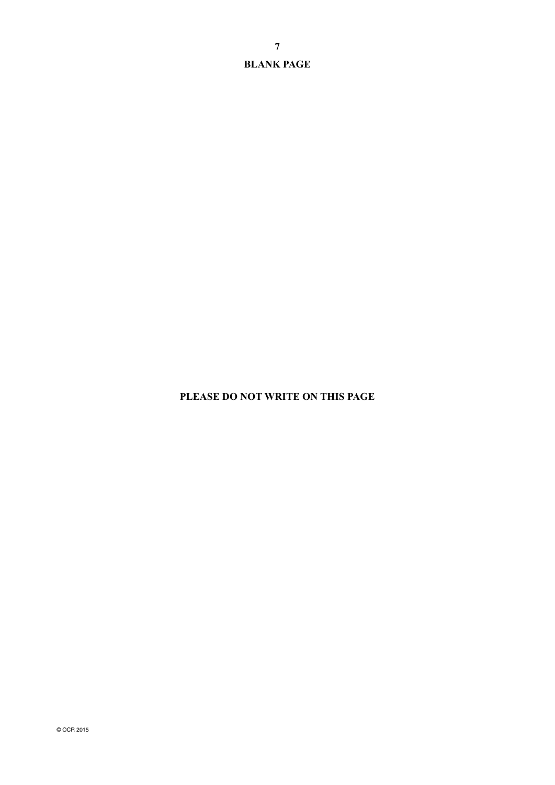**BLANK PAGE**

# **PLEASE DO NOT WRITE ON THIS PAGE**